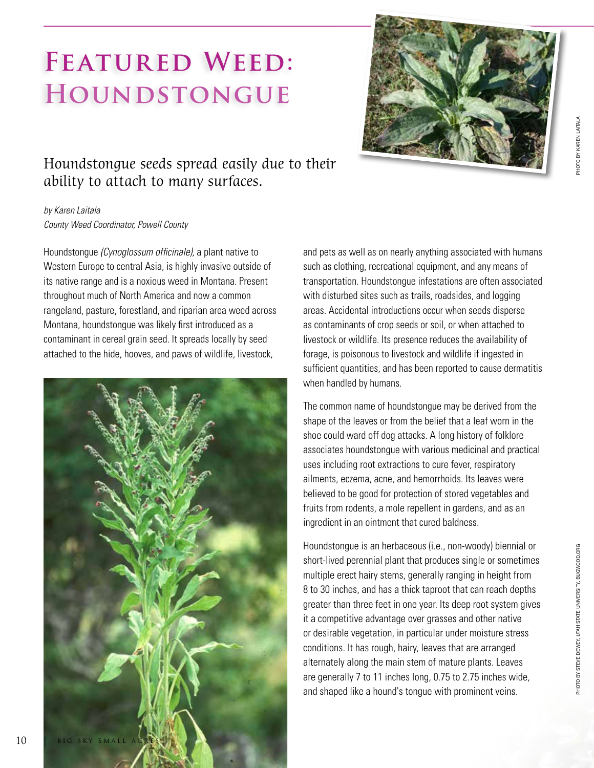PHOTO BY STEVE DEWEY, UTAH STATE UNIVERSITY, BUGWOOD.ORG

## FEATURED WEED: **Houndstongue**



## Houndstongue seeds spread easily due to their ability to attach to many surfaces.

*by Karen Laitala County Weed Coordinator, Powell County*

Houndstongue *(Cynoglossum officinale),* a plant native to Western Europe to central Asia, is highly invasive outside of its native range and is a noxious weed in Montana. Present throughout much of North America and now a common rangeland, pasture, forestland, and riparian area weed across Montana, houndstongue was likely first introduced as a contaminant in cereal grain seed. It spreads locally by seed attached to the hide, hooves, and paws of wildlife, livestock,



and pets as well as on nearly anything associated with humans such as clothing, recreational equipment, and any means of transportation. Houndstongue infestations are often associated with disturbed sites such as trails, roadsides, and logging areas. Accidental introductions occur when seeds disperse as contaminants of crop seeds or soil, or when attached to livestock or wildlife. Its presence reduces the availability of forage, is poisonous to livestock and wildlife if ingested in sufficient quantities, and has been reported to cause dermatitis when handled by humans.

The common name of houndstongue may be derived from the shape of the leaves or from the belief that a leaf worn in the shoe could ward off dog attacks. A long history of folklore associates houndstongue with various medicinal and practical uses including root extractions to cure fever, respiratory ailments, eczema, acne, and hemorrhoids. Its leaves were believed to be good for protection of stored vegetables and fruits from rodents, a mole repellent in gardens, and as an ingredient in an ointment that cured baldness.

Houndstongue is an herbaceous (i.e., non-woody) biennial or short-lived perennial plant that produces single or sometimes multiple erect hairy stems, generally ranging in height from 8 to 30 inches, and has a thick taproot that can reach depths greater than three feet in one year. Its deep root system gives it a competitive advantage over grasses and other native or desirable vegetation, in particular under moisture stress conditions. It has rough, hairy, leaves that are arranged alternately along the main stem of mature plants. Leaves are generally 7 to 11 inches long, 0.75 to 2.75 inches wide, and shaped like a hound's tongue with prominent veins.